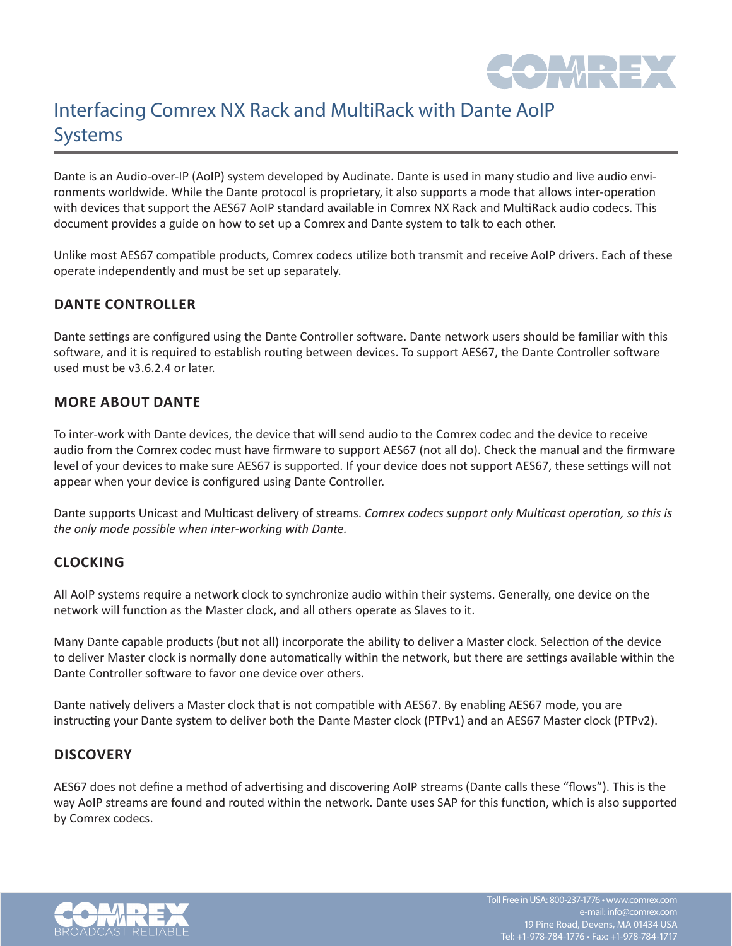

# Interfacing Comrex NX Rack and MultiRack with Dante AoIP Systems

Dante is an Audio-over-IP (AoIP) system developed by Audinate. Dante is used in many studio and live audio environments worldwide. While the Dante protocol is proprietary, it also supports a mode that allows inter-operation with devices that support the AES67 AoIP standard available in Comrex NX Rack and MultiRack audio codecs. This document provides a guide on how to set up a Comrex and Dante system to talk to each other.

Unlike most AES67 compatible products, Comrex codecs utilize both transmit and receive AoIP drivers. Each of these operate independently and must be set up separately.

# **DANTE CONTROLLER**

Dante settings are configured using the Dante Controller software. Dante network users should be familiar with this software, and it is required to establish routing between devices. To support AES67, the Dante Controller software used must be v3.6.2.4 or later.

# **MORE ABOUT DANTE**

To inter-work with Dante devices, the device that will send audio to the Comrex codec and the device to receive audio from the Comrex codec must have firmware to support AES67 (not all do). Check the manual and the firmware level of your devices to make sure AES67 is supported. If your device does not support AES67, these settings will not appear when your device is configured using Dante Controller.

Dante supports Unicast and Multicast delivery of streams. *Comrex codecs support only Multicast operation, so this is the only mode possible when inter-working with Dante.*

# **CLOCKING**

All AoIP systems require a network clock to synchronize audio within their systems. Generally, one device on the network will function as the Master clock, and all others operate as Slaves to it.

Many Dante capable products (but not all) incorporate the ability to deliver a Master clock. Selection of the device to deliver Master clock is normally done automatically within the network, but there are settings available within the Dante Controller software to favor one device over others.

Dante natively delivers a Master clock that is not compatible with AES67. By enabling AES67 mode, you are instructing your Dante system to deliver both the Dante Master clock (PTPv1) and an AES67 Master clock (PTPv2).

## **DISCOVERY**

AES67 does not define a method of advertising and discovering AoIP streams (Dante calls these "flows"). This is the way AoIP streams are found and routed within the network. Dante uses SAP for this function, which is also supported by Comrex codecs.

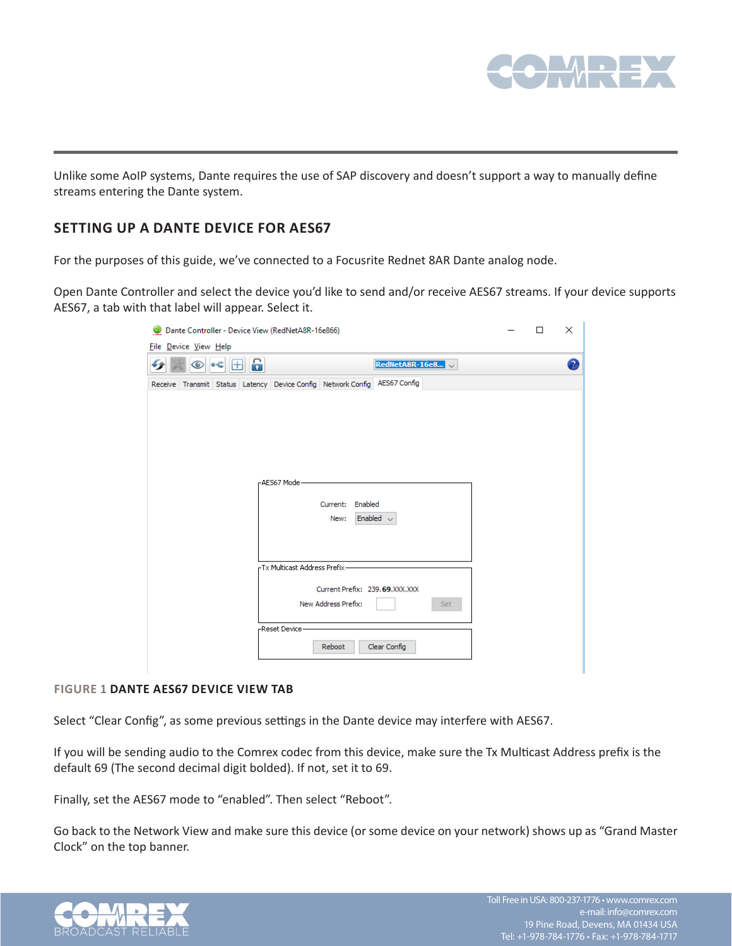

Unlike some AoIP systems, Dante requires the use of SAP discovery and doesn't support a way to manually define streams entering the Dante system.

# **SETTING UP A DANTE DEVICE FOR AES67**

For the purposes of this guide, we've connected to a Focusrite Rednet 8AR Dante analog node.

Open Dante Controller and select the device you'd like to send and/or receive AES67 streams. If your device supports AES67, a tab with that label will appear. Select it.

| Dante Controller - Device View (RedNetA8R-16e866)                         | □ | × |
|---------------------------------------------------------------------------|---|---|
| File Device View Help                                                     |   |   |
| E 6<br>RedNetA8R-16e8<br>$-$<br>$\circledcirc$                            |   | 2 |
| Receive Transmit Status Latency Device Config Network Config AES67 Config |   |   |
|                                                                           |   |   |
|                                                                           |   |   |
|                                                                           |   |   |
|                                                                           |   |   |
|                                                                           |   |   |
|                                                                           |   |   |
| -AES67 Mode-                                                              |   |   |
| Enabled<br>Current:                                                       |   |   |
| Enabled $\sim$<br>New:                                                    |   |   |
|                                                                           |   |   |
|                                                                           |   |   |
| -Tx Multicast Address Prefix-                                             |   |   |
|                                                                           |   |   |
| Current Prefix: 239.69.XXX.XXX                                            |   |   |
| New Address Prefix:<br>Set                                                |   |   |
| -Reset Device                                                             |   |   |
| Clear Config<br>Reboot                                                    |   |   |
|                                                                           |   |   |
|                                                                           |   |   |

#### **FIGURE 1 DANTE AES67 DEVICE VIEW TAB**

Select "Clear Config", as some previous settings in the Dante device may interfere with AES67.

If you will be sending audio to the Comrex codec from this device, make sure the Tx Multicast Address prefix is the default 69 (The second decimal digit bolded). If not, set it to 69.

Finally, set the AES67 mode to "enabled". Then select "Reboot".

Go back to the Network View and make sure this device (or some device on your network) shows up as "Grand Master Clock" on the top banner.

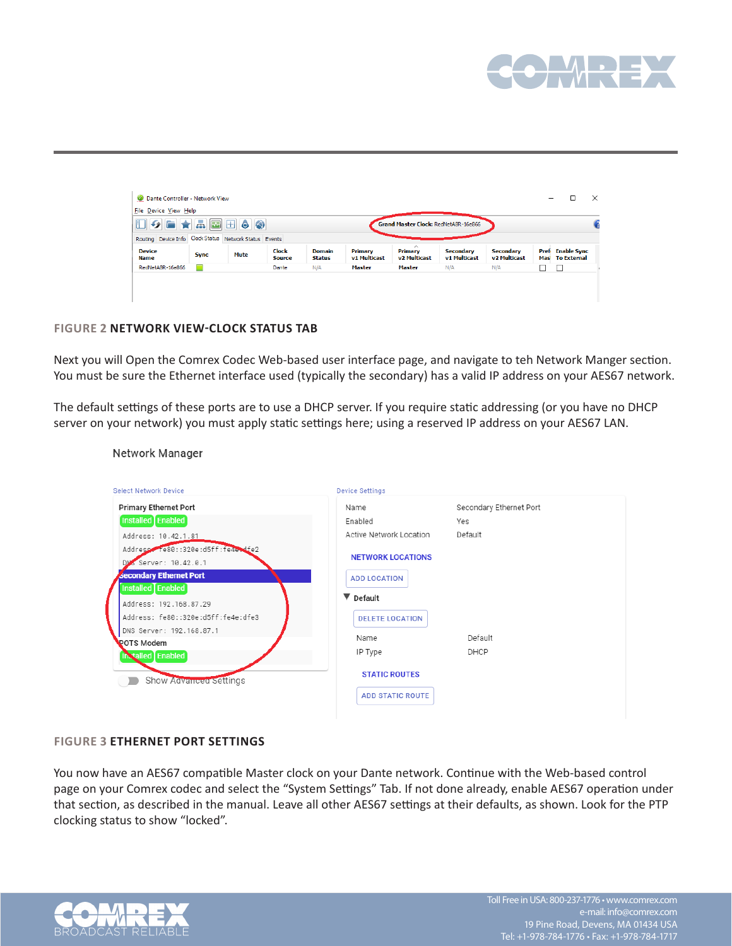

| $\begin{array}{ c c c c c }\hline \multicolumn{1}{ c }{\textbf{I}} & \multicolumn{1}{ c }{\textbf{I}} & \multicolumn{1}{ c }{\textbf{I}} & \multicolumn{1}{ c }{\textbf{I}} & \multicolumn{1}{ c }{\textbf{I}} & \multicolumn{1}{ c }{\textbf{I}} & \multicolumn{1}{ c }{\textbf{I}} & \multicolumn{1}{ c }{\textbf{I}} & \multicolumn{1}{ c }{\textbf{I}} & \multicolumn{1}{ c }{\textbf{I}} & \multicolumn{1}{ c }{\textbf{I}} & \multic$ |             |      |                               |                                |                         | Grand Master Clock: RedNetA8R-16e866            |                                  |                                  |                                     |  |
|---------------------------------------------------------------------------------------------------------------------------------------------------------------------------------------------------------------------------------------------------------------------------------------------------------------------------------------------------------------------------------------------------------------------------------------------|-------------|------|-------------------------------|--------------------------------|-------------------------|-------------------------------------------------|----------------------------------|----------------------------------|-------------------------------------|--|
| Routing Device Info Clock Status Network Status Events                                                                                                                                                                                                                                                                                                                                                                                      |             |      |                               |                                |                         |                                                 |                                  |                                  |                                     |  |
| <b>Device</b><br>Name                                                                                                                                                                                                                                                                                                                                                                                                                       | <b>Sync</b> | Mute | <b>Clock</b><br><b>Source</b> | <b>Domain</b><br><b>Status</b> | Primary<br>v1 Multicast | $\wedge$<br>Primary<br>v <sub>2</sub> Multicast | <b>Secondary</b><br>v1 Multicast | <b>Secondary</b><br>v2 Multicast | Pref Enable Sync<br>Mas To External |  |
| RedNetA8R-16e866                                                                                                                                                                                                                                                                                                                                                                                                                            |             |      | Dante                         | N/A                            | Master                  | <b>Master</b>                                   | N/A                              | N/A                              |                                     |  |

#### **FIGURE 2 NETWORK VIEW-CLOCK STATUS TAB**

Next you will Open the Comrex Codec Web-based user interface page, and navigate to teh Network Manger section. You must be sure the Ethernet interface used (typically the secondary) has a valid IP address on your AES67 network.

The default settings of these ports are to use a DHCP server. If you require static addressing (or you have no DHCP server on your network) you must apply static settings here; using a reserved IP address on your AES67 LAN.

| <b>Select Network Device</b>                                           | <b>Device Settings</b>   |                         |
|------------------------------------------------------------------------|--------------------------|-------------------------|
| <b>Primary Ethernet Port</b>                                           | Name                     | Secondary Ethernet Port |
| Installed Enabled                                                      | Enabled                  | Yes                     |
| Address: 10.42.1.81                                                    | Active Network Location  | Default                 |
| Address Te80::320e:d5ff:fe4e+dfe2<br>DM <sub>S</sub> Server: 10.42.0.1 | <b>NETWORK LOCATIONS</b> |                         |
| <b>Secondary Ethernet Port</b>                                         | <b>ADD LOCATION</b>      |                         |
| Installed Enabled<br>Address: 192.168.87.29                            | ▼ Default                |                         |
| Address: fe80::320e:d5ff:fe4e:dfe3                                     | <b>DELETE LOCATION</b>   |                         |
| DNS Server: 192.168.87.1                                               | Name                     | Default                 |
| <b>POTS Modem</b><br><b>In talled</b> Enabled                          | IP Type                  | DHCP                    |
| Show Advanced Settings                                                 | <b>STATIC ROUTES</b>     |                         |
|                                                                        | <b>ADD STATIC ROUTE</b>  |                         |

Network Manager

#### **FIGURE 3 ETHERNET PORT SETTINGS**

You now have an AES67 compatible Master clock on your Dante network. Continue with the Web-based control page on your Comrex codec and select the "System Settings" Tab. If not done already, enable AES67 operation under that section, as described in the manual. Leave all other AES67 settings at their defaults, as shown. Look for the PTP clocking status to show "locked".

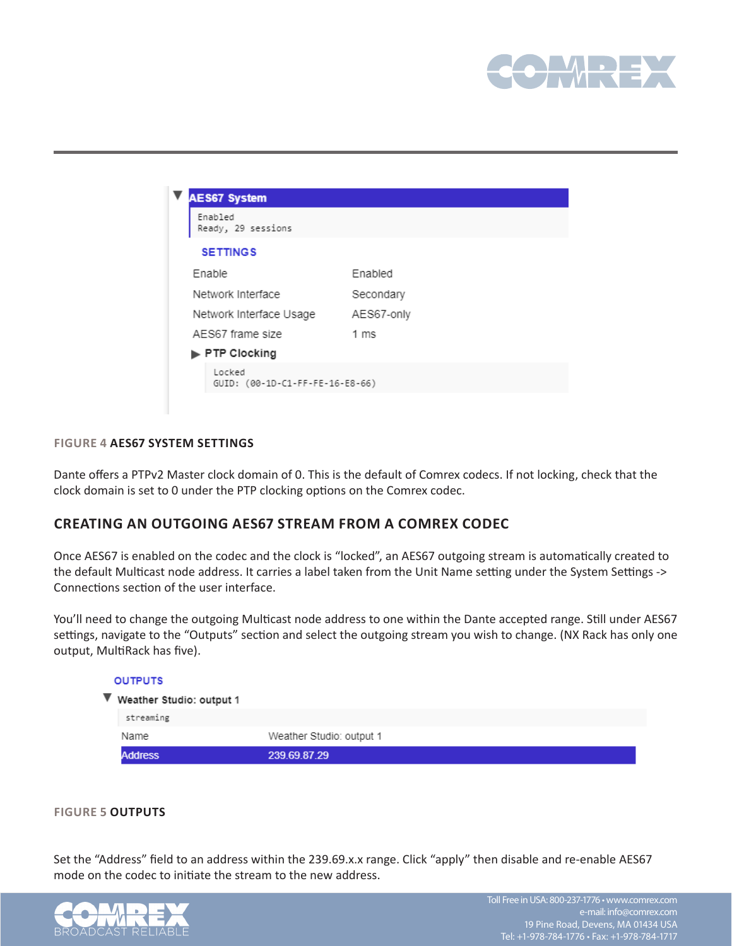

| Enabled<br>Ready, 29 sessions             |                |
|-------------------------------------------|----------------|
| <b>SETTINGS</b>                           |                |
| Enable                                    | Enabled        |
| Network Interface                         | Secondary      |
| Network Interface Usage                   | AES67-only     |
| AES67 frame size                          | $1 \text{ ms}$ |
| $\blacktriangleright$ PTP Clocking        |                |
| Locked<br>GUID: (00-1D-C1-FF-FE-16-E8-66) |                |

#### **FIGURE 4 AES67 SYSTEM SETTINGS**

Dante offers a PTPv2 Master clock domain of 0. This is the default of Comrex codecs. If not locking, check that the clock domain is set to 0 under the PTP clocking options on the Comrex codec.

## **CREATING AN OUTGOING AES67 STREAM FROM A COMREX CODEC**

Once AES67 is enabled on the codec and the clock is "locked", an AES67 outgoing stream is automatically created to the default Multicast node address. It carries a label taken from the Unit Name setting under the System Settings -> Connections section of the user interface.

You'll need to change the outgoing Multicast node address to one within the Dante accepted range. Still under AES67 settings, navigate to the "Outputs" section and select the outgoing stream you wish to change. (NX Rack has only one output, MultiRack has five).

| <b>OUTPUTS</b>                                |                          |
|-----------------------------------------------|--------------------------|
| $\blacktriangledown$ Weather Studio: output 1 |                          |
| streaming                                     |                          |
| Name                                          | Weather Studio: output 1 |
| <b>Address</b>                                | 239.69.87.29             |

#### **FIGURE 5 OUTPUTS**

Set the "Address" field to an address within the 239.69.x.x range. Click "apply" then disable and re-enable AES67 mode on the codec to initiate the stream to the new address.

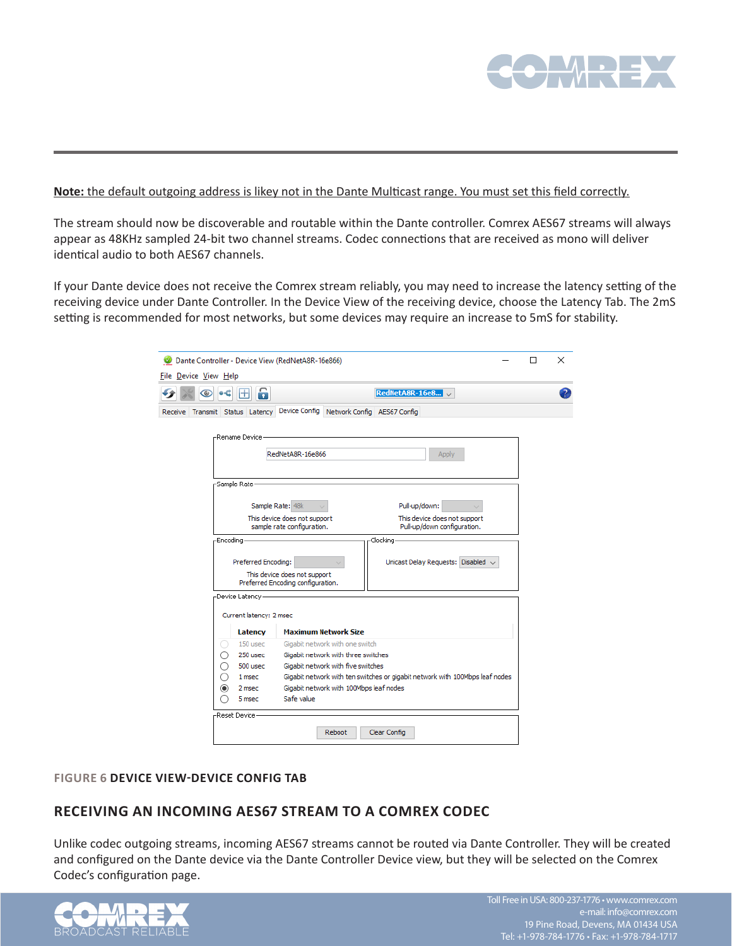

#### **Note:** the default outgoing address is likey not in the Dante Multicast range. You must set this field correctly.

The stream should now be discoverable and routable within the Dante controller. Comrex AES67 streams will always appear as 48KHz sampled 24-bit two channel streams. Codec connections that are received as mono will deliver identical audio to both AES67 channels.

If your Dante device does not receive the Comrex stream reliably, you may need to increase the latency setting of the receiving device under Dante Controller. In the Device View of the receiving device, choose the Latency Tab. The 2mS setting is recommended for most networks, but some devices may require an increase to 5mS for stability.

| Dante Controller - Device View (RedNetA8R-16e866)                         |                                         |                                                                              | п | × |
|---------------------------------------------------------------------------|-----------------------------------------|------------------------------------------------------------------------------|---|---|
| File Device View Help                                                     |                                         |                                                                              |   |   |
| 6<br>ŀН<br>œ                                                              |                                         | RedNetA8R-16e8                                                               |   |   |
| Receive Transmit Status Latency Device Config Network Config AES67 Config |                                         |                                                                              |   |   |
|                                                                           |                                         |                                                                              |   |   |
| -Rename Device-                                                           |                                         |                                                                              |   |   |
| RedNetA8R-16e866                                                          |                                         | Apply                                                                        |   |   |
|                                                                           |                                         |                                                                              |   |   |
| -Sample Rate-                                                             |                                         |                                                                              |   |   |
|                                                                           |                                         |                                                                              |   |   |
| Sample Rate: 48k                                                          |                                         | Pull-up/down:                                                                |   |   |
| This device does not support<br>sample rate configuration.                |                                         | This device does not support<br>Pull-up/down configuration.                  |   |   |
|                                                                           |                                         | -Clocking-                                                                   |   |   |
| -Encoding-                                                                |                                         |                                                                              |   |   |
| Preferred Encoding:                                                       |                                         | Unicast Delay Requests: Disabled ~                                           |   |   |
| This device does not support                                              |                                         |                                                                              |   |   |
| Preferred Encoding configuration.                                         |                                         |                                                                              |   |   |
| -Device Latency                                                           |                                         |                                                                              |   |   |
| Current latency: 2 msec                                                   |                                         |                                                                              |   |   |
| Latency                                                                   | <b>Maximum Network Size</b>             |                                                                              |   |   |
| 150 usec<br>0                                                             | Gigabit network with one switch         |                                                                              |   |   |
| 250 usec<br>Ω                                                             | Gigabit network with three switches     |                                                                              |   |   |
| 500 usec<br>Ω                                                             | Gigabit network with five switches      |                                                                              |   |   |
| ∩<br>1 msec                                                               |                                         | Gigabit network with ten switches or gigabit network with 100Mbps leaf nodes |   |   |
| $\circledcirc$<br>2 msec                                                  | Gigabit network with 100Mbps leaf nodes |                                                                              |   |   |
| 5 msec                                                                    | Safe value                              |                                                                              |   |   |
| -Reset Device-                                                            |                                         |                                                                              |   |   |
|                                                                           |                                         |                                                                              |   |   |
|                                                                           | Reboot                                  | Clear Config                                                                 |   |   |
|                                                                           |                                         |                                                                              |   |   |

#### **FIGURE 6 DEVICE VIEW-DEVICE CONFIG TAB**

## **RECEIVING AN INCOMING AES67 STREAM TO A COMREX CODEC**

Unlike codec outgoing streams, incoming AES67 streams cannot be routed via Dante Controller. They will be created and configured on the Dante device via the Dante Controller Device view, but they will be selected on the Comrex Codec's configuration page.

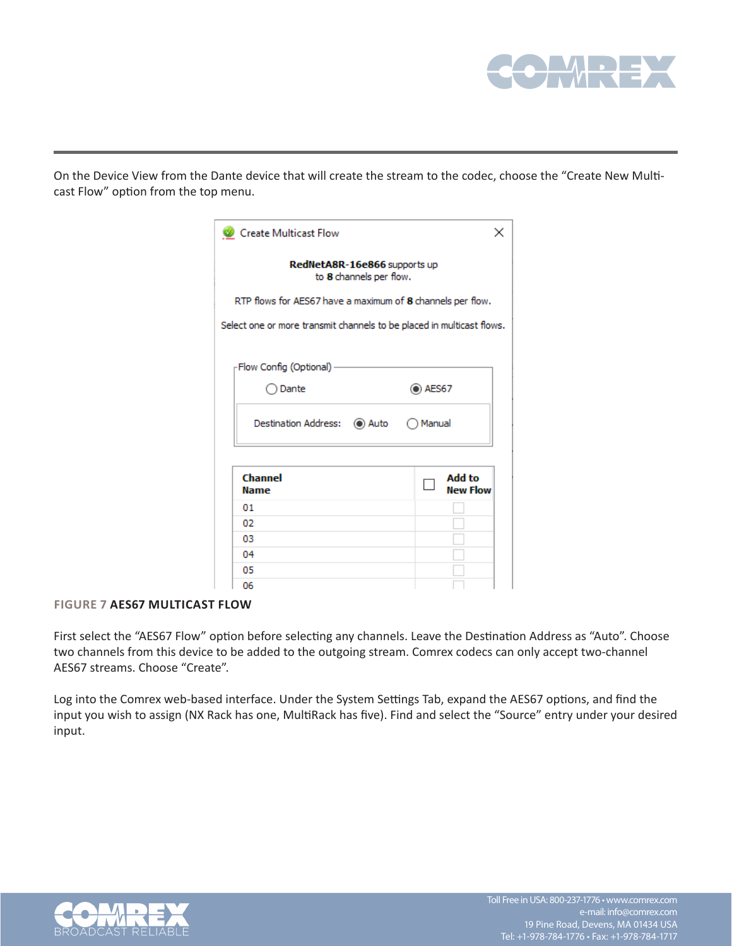

On the Device View from the Dante device that will create the stream to the codec, choose the "Create New Multicast Flow" option from the top menu.

| Create Multicast Flow                                                 | ×                         |
|-----------------------------------------------------------------------|---------------------------|
| RedNetA8R-16e866 supports up<br>to 8 channels per flow.               |                           |
| RTP flows for AES67 have a maximum of 8 channels per flow.            |                           |
| Select one or more transmit channels to be placed in multicast flows. |                           |
| -Flow Config (Optional) -                                             |                           |
| ) Dante                                                               | $\odot$ AES67             |
| Destination Address: (●) Auto (●) Manual                              |                           |
| Channel<br><b>Name</b>                                                | Add to<br><b>New Flow</b> |
| 01                                                                    |                           |
| 02                                                                    |                           |
| 03                                                                    |                           |
| 04                                                                    |                           |
| 05                                                                    |                           |
| 06                                                                    |                           |

#### **FIGURE 7 AES67 MULTICAST FLOW**

First select the "AES67 Flow" option before selecting any channels. Leave the Destination Address as "Auto". Choose two channels from this device to be added to the outgoing stream. Comrex codecs can only accept two-channel AES67 streams. Choose "Create".

Log into the Comrex web-based interface. Under the System Settings Tab, expand the AES67 options, and find the input you wish to assign (NX Rack has one, MultiRack has five). Find and select the "Source" entry under your desired input.